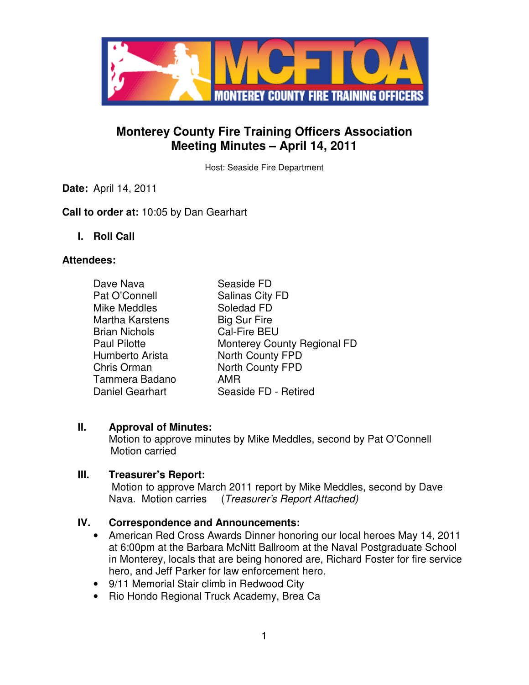

## **Monterey County Fire Training Officers Association Meeting Minutes – April 14, 2011**

Host: Seaside Fire Department

**Date:** April 14, 2011

#### **Call to order at:** 10:05 by Dan Gearhart

**I. Roll Call** 

#### **Attendees:**

| Dave Nava              | Seaside FD                  |
|------------------------|-----------------------------|
| Pat O'Connell          | Salinas City FD             |
| <b>Mike Meddles</b>    | Soledad FD                  |
| <b>Martha Karstens</b> | <b>Big Sur Fire</b>         |
| <b>Brian Nichols</b>   | Cal-Fire BEU                |
| <b>Paul Pilotte</b>    | Monterey County Regional FD |
| Humberto Arista        | North County FPD            |
| Chris Orman            | North County FPD            |
| Tammera Badano         | <b>AMR</b>                  |
| <b>Daniel Gearhart</b> | Seaside FD - Retired        |

## **II. Approval of Minutes:**

Motion to approve minutes by Mike Meddles, second by Pat O'Connell Motion carried

#### **III. Treasurer's Report:**

 Motion to approve March 2011 report by Mike Meddles, second by Dave Nava. Motion carries (Treasurer's Report Attached)

## **IV. Correspondence and Announcements:**

- American Red Cross Awards Dinner honoring our local heroes May 14, 2011 at 6:00pm at the Barbara McNitt Ballroom at the Naval Postgraduate School in Monterey, locals that are being honored are, Richard Foster for fire service hero, and Jeff Parker for law enforcement hero.
- 9/11 Memorial Stair climb in Redwood City
- Rio Hondo Regional Truck Academy, Brea Ca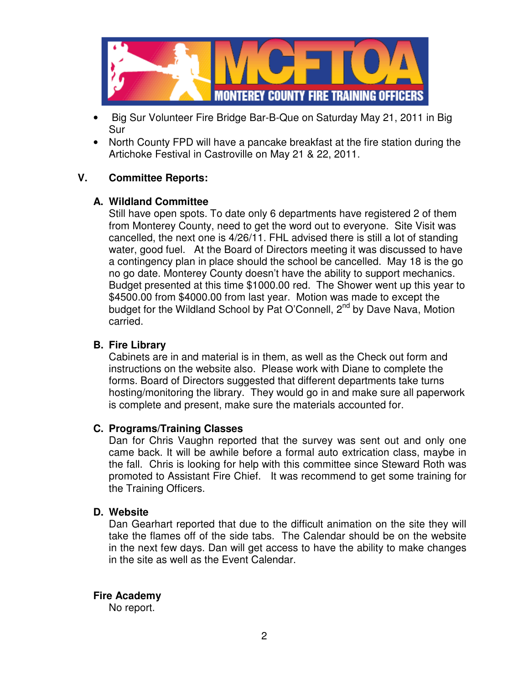

- Big Sur Volunteer Fire Bridge Bar-B-Que on Saturday May 21, 2011 in Big Sur
- North County FPD will have a pancake breakfast at the fire station during the Artichoke Festival in Castroville on May 21 & 22, 2011.

## **V. Committee Reports:**

## **A. Wildland Committee**

Still have open spots. To date only 6 departments have registered 2 of them from Monterey County, need to get the word out to everyone. Site Visit was cancelled, the next one is 4/26/11. FHL advised there is still a lot of standing water, good fuel. At the Board of Directors meeting it was discussed to have a contingency plan in place should the school be cancelled. May 18 is the go no go date. Monterey County doesn't have the ability to support mechanics. Budget presented at this time \$1000.00 red. The Shower went up this year to \$4500.00 from \$4000.00 from last year. Motion was made to except the budget for the Wildland School by Pat O'Connell, 2<sup>nd</sup> by Dave Nava, Motion carried.

## **B. Fire Library**

Cabinets are in and material is in them, as well as the Check out form and instructions on the website also. Please work with Diane to complete the forms. Board of Directors suggested that different departments take turns hosting/monitoring the library. They would go in and make sure all paperwork is complete and present, make sure the materials accounted for.

## **C. Programs/Training Classes**

Dan for Chris Vaughn reported that the survey was sent out and only one came back. It will be awhile before a formal auto extrication class, maybe in the fall. Chris is looking for help with this committee since Steward Roth was promoted to Assistant Fire Chief. It was recommend to get some training for the Training Officers.

#### **D. Website**

Dan Gearhart reported that due to the difficult animation on the site they will take the flames off of the side tabs. The Calendar should be on the website in the next few days. Dan will get access to have the ability to make changes in the site as well as the Event Calendar.

## **Fire Academy**

No report.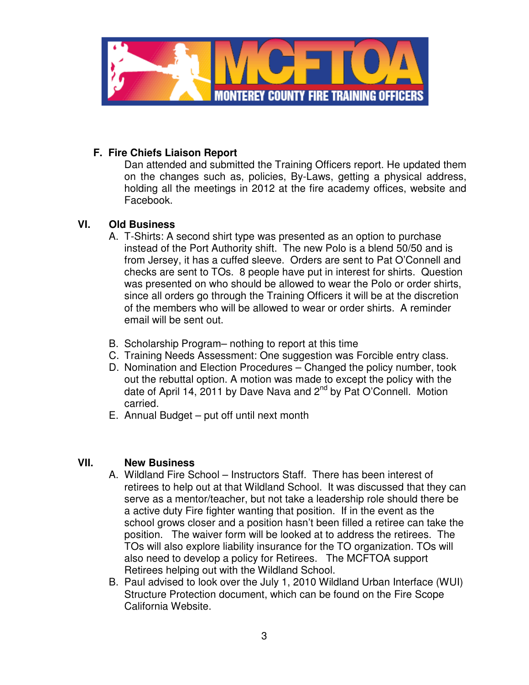

## **F. Fire Chiefs Liaison Report**

Dan attended and submitted the Training Officers report. He updated them on the changes such as, policies, By-Laws, getting a physical address, holding all the meetings in 2012 at the fire academy offices, website and Facebook.

## **VI. Old Business**

- A. T-Shirts: A second shirt type was presented as an option to purchase instead of the Port Authority shift. The new Polo is a blend 50/50 and is from Jersey, it has a cuffed sleeve. Orders are sent to Pat O'Connell and checks are sent to TOs. 8 people have put in interest for shirts. Question was presented on who should be allowed to wear the Polo or order shirts, since all orders go through the Training Officers it will be at the discretion of the members who will be allowed to wear or order shirts. A reminder email will be sent out.
- B. Scholarship Program– nothing to report at this time
- C. Training Needs Assessment: One suggestion was Forcible entry class.
- D. Nomination and Election Procedures Changed the policy number, took out the rebuttal option. A motion was made to except the policy with the date of April 14, 2011 by Dave Nava and  $2^{nd}$  by Pat O'Connell. Motion carried.
- E. Annual Budget put off until next month

## **VII. New Business**

- A. Wildland Fire School Instructors Staff. There has been interest of retirees to help out at that Wildland School. It was discussed that they can serve as a mentor/teacher, but not take a leadership role should there be a active duty Fire fighter wanting that position. If in the event as the school grows closer and a position hasn't been filled a retiree can take the position. The waiver form will be looked at to address the retirees. The TOs will also explore liability insurance for the TO organization. TOs will also need to develop a policy for Retirees. The MCFTOA support Retirees helping out with the Wildland School.
- B. Paul advised to look over the July 1, 2010 Wildland Urban Interface (WUI) Structure Protection document, which can be found on the Fire Scope California Website.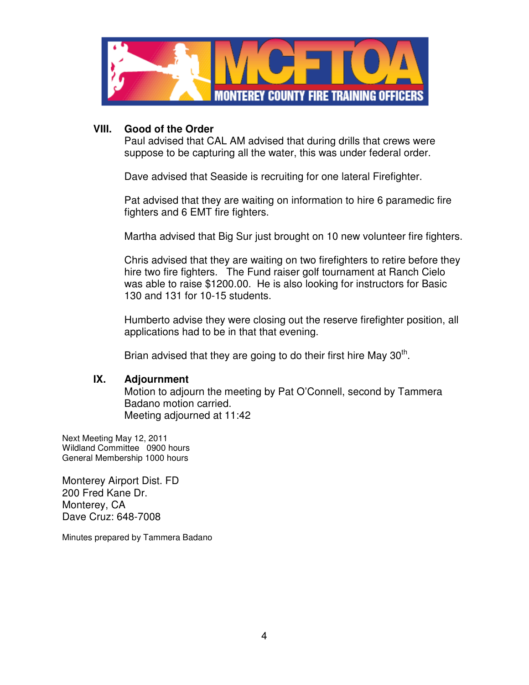

#### **VIII. Good of the Order**

Paul advised that CAL AM advised that during drills that crews were suppose to be capturing all the water, this was under federal order.

Dave advised that Seaside is recruiting for one lateral Firefighter.

Pat advised that they are waiting on information to hire 6 paramedic fire fighters and 6 EMT fire fighters.

Martha advised that Big Sur just brought on 10 new volunteer fire fighters.

Chris advised that they are waiting on two firefighters to retire before they hire two fire fighters. The Fund raiser golf tournament at Ranch Cielo was able to raise \$1200.00. He is also looking for instructors for Basic 130 and 131 for 10-15 students.

Humberto advise they were closing out the reserve firefighter position, all applications had to be in that that evening.

Brian advised that they are going to do their first hire May 30<sup>th</sup>.

#### **IX. Adjournment**

 Motion to adjourn the meeting by Pat O'Connell, second by Tammera Badano motion carried. Meeting adjourned at 11:42

Next Meeting May 12, 2011 Wildland Committee 0900 hours General Membership 1000 hours

Monterey Airport Dist. FD 200 Fred Kane Dr. Monterey, CA Dave Cruz: 648-7008

Minutes prepared by Tammera Badano